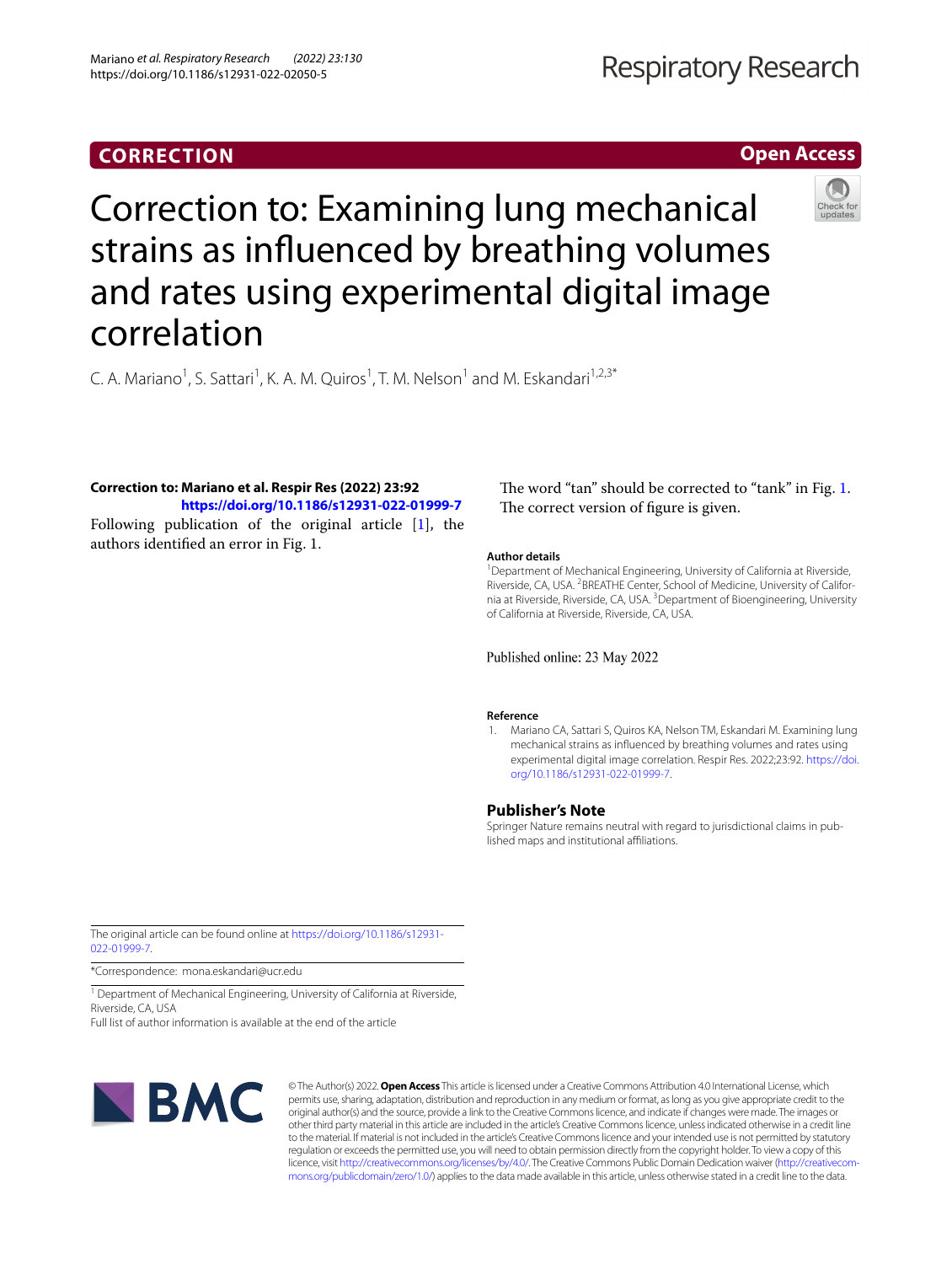# **CORRECTION**

## **Open Access**



# Correction to: Examining lung mechanical strains as infuenced by breathing volumes and rates using experimental digital image correlation

C. A. Mariano<sup>1</sup>, S. Sattari<sup>1</sup>, K. A. M. Quiros<sup>1</sup>, T. M. Nelson<sup>1</sup> and M. Eskandari<sup>1,2,3\*</sup>

# **Correction to: Mariano et al. Respir Res (2022) 23:92**

**<https://doi.org/10.1186/s12931-022-01999-7>** Following publication of the original article [\[1\]](#page-0-0), the authors identifed an error in Fig. 1.

## The word "tan" should be corrected to "tank" in Fig. [1](#page-1-0). The correct version of figure is given.

#### **Author details**

<sup>1</sup> Department of Mechanical Engineering, University of California at Riverside, Riverside, CA, USA. <sup>2</sup> BREATHE Center, School of Medicine, University of California at Riverside, Riverside, CA, USA.<sup>3</sup> Department of Bioengineering, University of California at Riverside, Riverside, CA, USA.

Published online: 23 May 2022

#### **Reference**

<span id="page-0-0"></span>1. Mariano CA, Sattari S, Quiros KA, Nelson TM, Eskandari M. Examining lung mechanical strains as infuenced by breathing volumes and rates using experimental digital image correlation. Respir Res. 2022;23:92. [https://doi.](https://doi.org/10.1186/s12931-022-01999-7) [org/10.1186/s12931-022-01999-7](https://doi.org/10.1186/s12931-022-01999-7).

### **Publisher's Note**

Springer Nature remains neutral with regard to jurisdictional claims in published maps and institutional afliations.

The original article can be found online at [https://doi.org/10.1186/s12931-](https://doi.org/10.1186/s12931-022-01999-7) [022-01999-7](https://doi.org/10.1186/s12931-022-01999-7).

\*Correspondence: mona.eskandari@ucr.edu

<sup>1</sup> Department of Mechanical Engineering, University of California at Riverside, Riverside, CA, USA

Full list of author information is available at the end of the article



© The Author(s) 2022. **Open Access** This article is licensed under a Creative Commons Attribution 4.0 International License, which permits use, sharing, adaptation, distribution and reproduction in any medium or format, as long as you give appropriate credit to the original author(s) and the source, provide a link to the Creative Commons licence, and indicate if changes were made. The images or other third party material in this article are included in the article's Creative Commons licence, unless indicated otherwise in a credit line to the material. If material is not included in the article's Creative Commons licence and your intended use is not permitted by statutory regulation or exceeds the permitted use, you will need to obtain permission directly from the copyright holder. To view a copy of this licence, visit [http://creativecommons.org/licenses/by/4.0/.](http://creativecommons.org/licenses/by/4.0/) The Creative Commons Public Domain Dedication waiver ([http://creativecom](http://creativecommons.org/publicdomain/zero/1.0/)[mons.org/publicdomain/zero/1.0/\)](http://creativecommons.org/publicdomain/zero/1.0/) applies to the data made available in this article, unless otherwise stated in a credit line to the data.